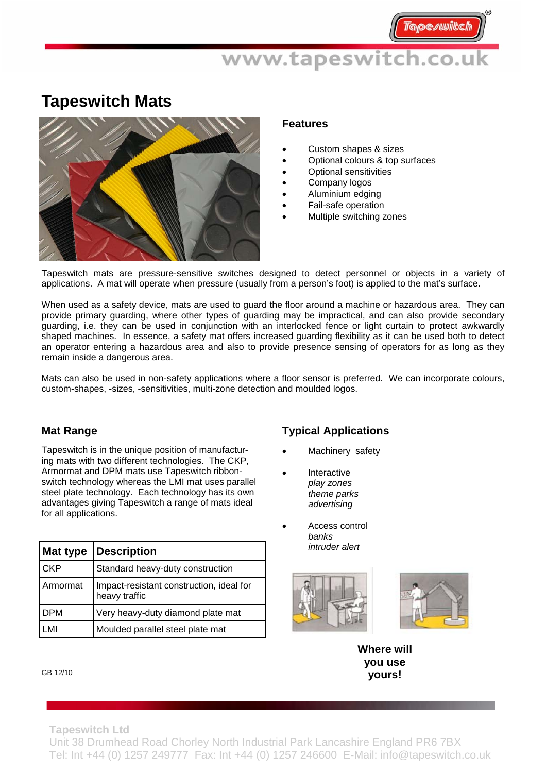## www.tapeswitch.co.uk

## **Tapeswitch Mats**



#### **Features**

- Custom shapes & sizes
- Optional colours & top surfaces
- Optional sensitivities
- Company logos
- Aluminium edging
- Fail-safe operation
- Multiple switching zones

Tapeswitch mats are pressure-sensitive switches designed to detect personnel or objects in a variety of applications. A mat will operate when pressure (usually from a person's foot) is applied to the mat's surface.

When used as a safety device, mats are used to guard the floor around a machine or hazardous area. They can provide primary guarding, where other types of guarding may be impractical, and can also provide secondary guarding, i.e. they can be used in conjunction with an interlocked fence or light curtain to protect awkwardly shaped machines. In essence, a safety mat offers increased guarding flexibility as it can be used both to detect an operator entering a hazardous area and also to provide presence sensing of operators for as long as they remain inside a dangerous area.

Mats can also be used in non-safety applications where a floor sensor is preferred. We can incorporate colours, custom-shapes, -sizes, -sensitivities, multi-zone detection and moulded logos.

### **Mat Range**

Tapeswitch is in the unique position of manufacturing mats with two different technologies. The CKP, Armormat and DPM mats use Tapeswitch ribbonswitch technology whereas the LMI mat uses parallel steel plate technology. Each technology has its own advantages giving Tapeswitch a range of mats ideal for all applications.

| <b>Mat type</b> | <b>Description</b>                                        |
|-----------------|-----------------------------------------------------------|
| <b>CKP</b>      | Standard heavy-duty construction                          |
| Armormat        | Impact-resistant construction, ideal for<br>heavy traffic |
| <b>DPM</b>      | Very heavy-duty diamond plate mat                         |
| LMI             | Moulded parallel steel plate mat                          |

### **Typical Applications**

- Machinery safety
- **Interactive**  *play zones theme parks advertising*
- Access control *banks intruder alert*





**Where will you use yours!** 

#### GB 12/10

**Tapeswitch Ltd** 

Unit 38 Drumhead Road Chorley North Industrial Park Lancashire England PR6 7BX Tel: Int +44 (0) 1257 249777 Fax: Int +44 (0) 1257 246600 E-Mail: info@tapeswitch.co.uk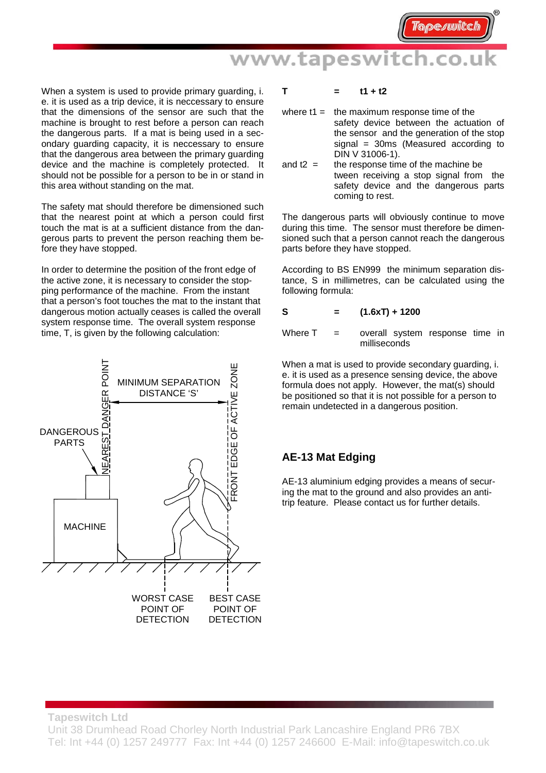## www.tapeswitch.co.uk

When a system is used to provide primary guarding, i. e. it is used as a trip device, it is neccessary to ensure that the dimensions of the sensor are such that the machine is brought to rest before a person can reach the dangerous parts. If a mat is being used in a secondary guarding capacity, it is neccessary to ensure that the dangerous area between the primary guarding device and the machine is completely protected. It should not be possible for a person to be in or stand in this area without standing on the mat.

The safety mat should therefore be dimensioned such that the nearest point at which a person could first touch the mat is at a sufficient distance from the dangerous parts to prevent the person reaching them before they have stopped.

In order to determine the position of the front edge of the active zone, it is necessary to consider the stopping performance of the machine. From the instant that a person's foot touches the mat to the instant that dangerous motion actually ceases is called the overall system response time. The overall system response time, T, is given by the following calculation:



#### $T = t1 + t2$

- where  $t1 =$  the maximum response time of the safety device between the actuation of the sensor and the generation of the stop signal = 30ms (Measured according to DIN V 31006-1).
- and  $t2 =$  the response time of the machine be tween receiving a stop signal from the safety device and the dangerous parts coming to rest.

The dangerous parts will obviously continue to move during this time. The sensor must therefore be dimensioned such that a person cannot reach the dangerous parts before they have stopped.

According to BS EN999 the minimum separation distance, S in millimetres, can be calculated using the following formula:

$$
S = (1.6xT) + 1200
$$

Where  $T =$  overall system response time in milliseconds

When a mat is used to provide secondary guarding, i. e. it is used as a presence sensing device, the above formula does not apply. However, the mat(s) should be positioned so that it is not possible for a person to remain undetected in a dangerous position.

### **AE-13 Mat Edging**

AE-13 aluminium edging provides a means of securing the mat to the ground and also provides an antitrip feature. Please contact us for further details.

**Tapeswitch Ltd** 

Unit 38 Drumhead Road Chorley North Industrial Park Lancashire England PR6 7BX Tel: Int +44 (0) 1257 249777 Fax: Int +44 (0) 1257 246600 E-Mail: info@tapeswitch.co.uk